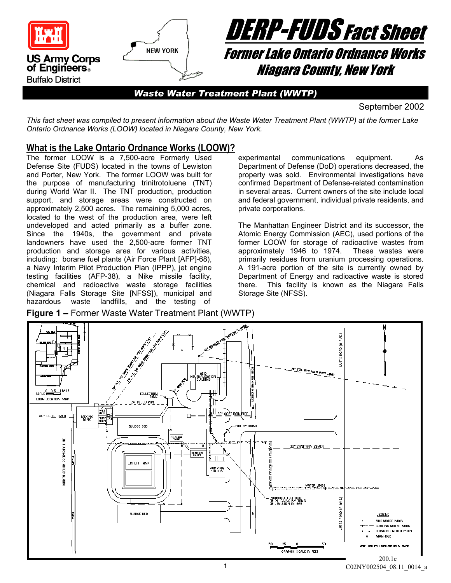



*Waste Water Treatment Plant (WWTP)* 

September 2002

*This fact sheet was compiled to present information about the Waste Water Treatment Plant (WWTP) at the former Lake Ontario Ordnance Works (LOOW) located in Niagara County, New York.* 

### **What is the Lake Ontario Ordnance Works (LOOW)?**

The former LOOW is a 7,500-acre Formerly Used Defense Site (FUDS) located in the towns of Lewiston and Porter, New York. The former LOOW was built for the purpose of manufacturing trinitrotoluene (TNT) during World War II. The TNT production, production support, and storage areas were constructed on approximately 2,500 acres. The remaining 5,000 acres, located to the west of the production area, were left undeveloped and acted primarily as a buffer zone. Since the 1940s, the government and private landowners have used the 2,500-acre former TNT production and storage area for various activities, including: borane fuel plants (Air Force Plant [AFP]-68), a Navy Interim Pilot Production Plan (IPPP), jet engine testing facilities (AFP-38), a Nike missile facility, chemical and radioactive waste storage facilities (Niagara Falls Storage Site [NFSS]), municipal and hazardous waste landfills, and the testing of

experimental communications equipment. As Department of Defense (DoD) operations decreased, the property was sold. Environmental investigations have confirmed Department of Defense-related contamination in several areas. Current owners of the site include local and federal government, individual private residents, and private corporations.

The Manhattan Engineer District and its successor, the Atomic Energy Commission (AEC), used portions of the former LOOW for storage of radioactive wastes from approximately 1946 to 1974. These wastes were primarily residues from uranium processing operations. A 191-acre portion of the site is currently owned by Department of Energy and radioactive waste is stored there. This facility is known as the Niagara Falls Storage Site (NFSS).



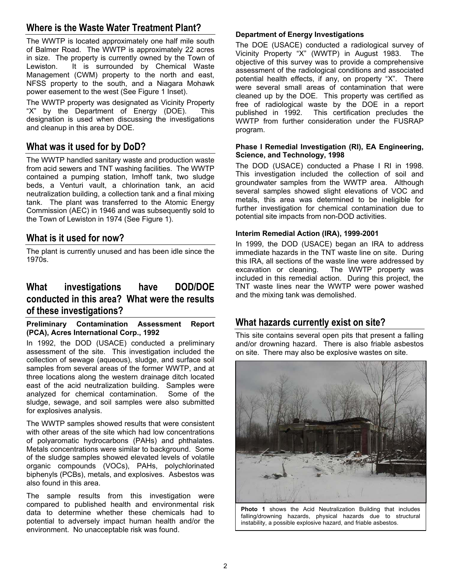## **Where is the Waste Water Treatment Plant?**

The WWTP is located approximately one half mile south of Balmer Road. The WWTP is approximately 22 acres in size. The property is currently owned by the Town of Lewiston. It is surrounded by Chemical Waste Management (CWM) property to the north and east, NFSS property to the south, and a Niagara Mohawk power easement to the west (See Figure 1 Inset).

The WWTP property was designated as Vicinity Property "X" by the Department of Energy (DOE). This designation is used when discussing the investigations and cleanup in this area by DOE.

### **What was it used for by DoD?**

The WWTP handled sanitary waste and production waste from acid sewers and TNT washing facilities. The WWTP contained a pumping station, Imhoff tank, two sludge beds, a Venturi vault, a chlorination tank, an acid neutralization building, a collection tank and a final mixing tank. The plant was transferred to the Atomic Energy Commission (AEC) in 1946 and was subsequently sold to the Town of Lewiston in 1974 (See Figure 1).

### **What is it used for now?**

The plant is currently unused and has been idle since the 1970s.

## **What investigations have DOD/DOE conducted in this area? What were the results of these investigations?**

#### **Preliminary Contamination Assessment Report (PCA), Acres International Corp., 1992**

In 1992, the DOD (USACE) conducted a preliminary assessment of the site. This investigation included the collection of sewage (aqueous), sludge, and surface soil samples from several areas of the former WWTP, and at three locations along the western drainage ditch located east of the acid neutralization building. Samples were analyzed for chemical contamination. Some of the sludge, sewage, and soil samples were also submitted for explosives analysis.

The WWTP samples showed results that were consistent with other areas of the site which had low concentrations of polyaromatic hydrocarbons (PAHs) and phthalates. Metals concentrations were similar to background. Some of the sludge samples showed elevated levels of volatile organic compounds (VOCs), PAHs, polychlorinated biphenyls (PCBs), metals, and explosives. Asbestos was also found in this area.

The sample results from this investigation were compared to published health and environmental risk data to determine whether these chemicals had to potential to adversely impact human health and/or the environment. No unacceptable risk was found.

#### **Department of Energy Investigations**

The DOE (USACE) conducted a radiological survey of Vicinity Property "X" (WWTP) in August 1983. The objective of this survey was to provide a comprehensive assessment of the radiological conditions and associated potential health effects, if any, on property "X". There were several small areas of contamination that were cleaned up by the DOE. This property was certified as free of radiological waste by the DOE in a report published in 1992. This certification precludes the WWTP from further consideration under the FUSRAP program.

#### **Phase I Remedial Investigation (RI), EA Engineering, Science, and Technology, 1998**

The DOD (USACE) conducted a Phase I RI in 1998. This investigation included the collection of soil and groundwater samples from the WWTP area. Although several samples showed slight elevations of VOC and metals, this area was determined to be ineligible for further investigation for chemical contamination due to potential site impacts from non-DOD activities.

#### **Interim Remedial Action (IRA), 1999-2001**

In 1999, the DOD (USACE) began an IRA to address immediate hazards in the TNT waste line on site. During this IRA, all sections of the waste line were addressed by excavation or cleaning. The WWTP property was included in this remedial action. During this project, the TNT waste lines near the WWTP were power washed and the mixing tank was demolished.

### **What hazards currently exist on site?**

This site contains several open pits that present a falling and/or drowning hazard. There is also friable asbestos on site. There may also be explosive wastes on site.



**Photo 1** shows the Acid Neutralization Building that includes falling/drowning hazards, physical hazards due to structural instability, a possible explosive hazard, and friable asbestos.